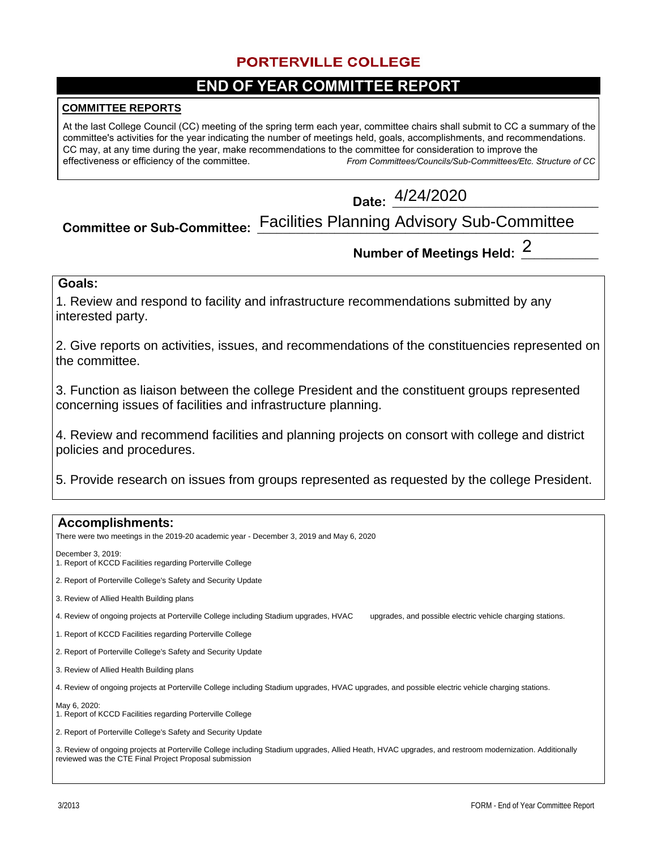## **PORTERVILLE COLLEGE**

# **END OF YEAR COMMITTEE REPORT**

### **COMMITTEE REPORTS**

At the last College Council (CC) meeting of the spring term each year, committee chairs shall submit to CC a summary of the committee's activities for the year indicating the number of meetings held, goals, accomplishments, and recommendations. CC may, at any time during the year, make recommendations to the committee for consideration to improve the effectiveness or efficiency of the committee. *From Committees/Councils/Sub-Committees/Etc. Structure of CC*

**Date: \_\_\_\_\_\_\_\_\_\_\_\_\_\_\_\_\_\_\_\_\_\_\_\_\_\_\_\_\_\_\_\_**  4/24/2020

#### **Committee or Sub-Committee:** Facilities Planning Advisory Sub-Committee

# **Number of Meetings Held: \_\_\_\_\_\_\_\_\_\_\_\_**  2

### **Goals:**

1. Review and respond to facility and infrastructure recommendations submitted by any interested party.

2. Give reports on activities, issues, and recommendations of the constituencies represented on the committee.

3. Function as liaison between the college President and the constituent groups represented concerning issues of facilities and infrastructure planning.

4. Review and recommend facilities and planning projects on consort with college and district policies and procedures.

5. Provide research on issues from groups represented as requested by the college President.

# **Accomplishments:** There were two meetings in the 2019-20 academic year - December 3, 2019 and May 6, 2020 December 3, 2019: 1. Report of KCCD Facilities regarding Porterville College 2. Report of Porterville College's Safety and Security Update 3. Review of Allied Health Building plans 4. Review of ongoing projects at Porterville College including Stadium upgrades, HVAC upgrades, and possible electric vehicle charging stations. 1. Report of KCCD Facilities regarding Porterville College 2. Report of Porterville College's Safety and Security Update 3. Review of Allied Health Building plans 4. Review of ongoing projects at Porterville College including Stadium upgrades, HVAC upgrades, and possible electric vehicle charging stations. May 6, 2020: 1. Report of KCCD Facilities regarding Porterville College 2. Report of Porterville College's Safety and Security Update 3. Review of ongoing projects at Porterville College including Stadium upgrades, Allied Heath, HVAC upgrades, and restroom modernization. Additionally reviewed was the CTE Final Project Proposal submission